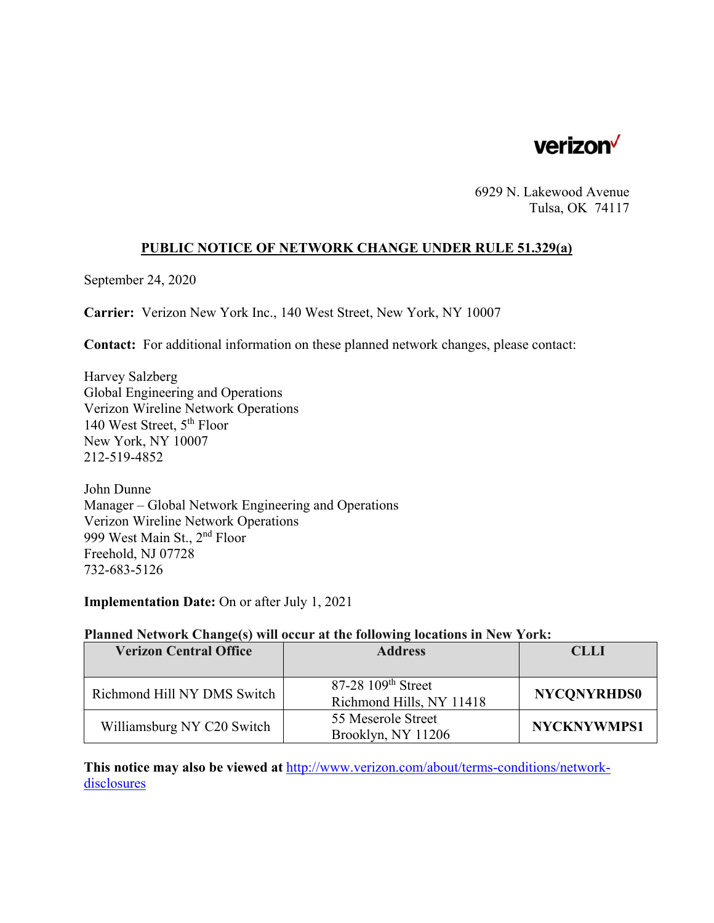

6929 N. Lakewood Avenue Tulsa, OK 74117

#### **PUBLIC NOTICE OF NETWORK CHANGE UNDER RULE 51.329(a)**

September 24, 2020

**Carrier:** Verizon New York Inc., 140 West Street, New York, NY 10007

**Contact:** For additional information on these planned network changes, please contact:

Harvey Salzberg Global Engineering and Operations Verizon Wireline Network Operations 140 West Street, 5th Floor New York, NY 10007 212-519-4852

John Dunne Manager – Global Network Engineering and Operations Verizon Wireline Network Operations 999 West Main St., 2nd Floor Freehold, NJ 07728 732-683-5126

**Implementation Date:** On or after July 1, 2021

#### **Planned Network Change(s) will occur at the following locations in New York:**

| <b>Verizon Central Office</b> | <b>Address</b>                                               | <b>CLLI</b>        |
|-------------------------------|--------------------------------------------------------------|--------------------|
|                               |                                                              |                    |
| Richmond Hill NY DMS Switch   | $87-28$ 109 <sup>th</sup> Street<br>Richmond Hills, NY 11418 | <b>NYCONYRHDS0</b> |
| Williamsburg NY C20 Switch    | 55 Meserole Street<br>Brooklyn, NY 11206                     | <b>NYCKNYWMPS1</b> |

**This notice may also be viewed at** http://www.verizon.com/about/terms-conditions/networkdisclosures